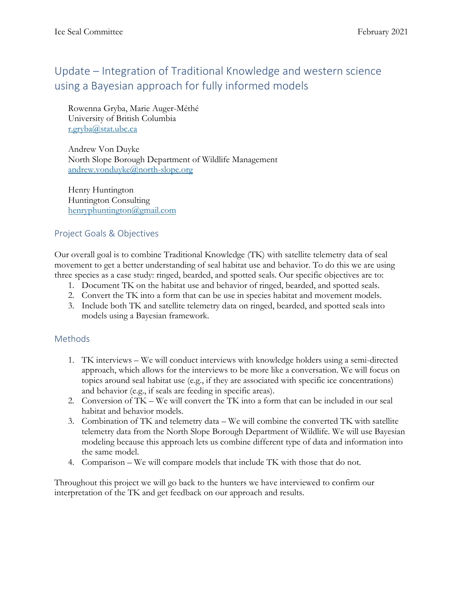# Update – Integration of Traditional Knowledge and western science using a Bayesian approach for fully informed models

Rowenna Gryba, Marie Auger-Méthé University of British Columbia [r.gryba@stat.ubc.ca](mailto:r.gryba@stat.ubc.ca)

Andrew Von Duyke North Slope Borough Department of Wildlife Management [andrew.vonduyke@north-slope.org](mailto:andrew.vonduyke@north-slope.org)

Henry Huntington Huntington Consulting [henryphuntington@gmail.com](mailto:henryphuntington@gmail.com)

#### Project Goals & Objectives

Our overall goal is to combine Traditional Knowledge (TK) with satellite telemetry data of seal movement to get a better understanding of seal habitat use and behavior. To do this we are using three species as a case study: ringed, bearded, and spotted seals. Our specific objectives are to:

- 1. Document TK on the habitat use and behavior of ringed, bearded, and spotted seals.
- 2. Convert the TK into a form that can be use in species habitat and movement models.
- 3. Include both TK and satellite telemetry data on ringed, bearded, and spotted seals into models using a Bayesian framework.

#### Methods

- 1. TK interviews We will conduct interviews with knowledge holders using a semi-directed approach, which allows for the interviews to be more like a conversation. We will focus on topics around seal habitat use (e.g., if they are associated with specific ice concentrations) and behavior (e.g., if seals are feeding in specific areas).
- 2. Conversion of TK We will convert the TK into a form that can be included in our seal habitat and behavior models.
- 3. Combination of TK and telemetry data We will combine the converted TK with satellite telemetry data from the North Slope Borough Department of Wildlife. We will use Bayesian modeling because this approach lets us combine different type of data and information into the same model.
- 4. Comparison We will compare models that include TK with those that do not.

Throughout this project we will go back to the hunters we have interviewed to confirm our interpretation of the TK and get feedback on our approach and results.